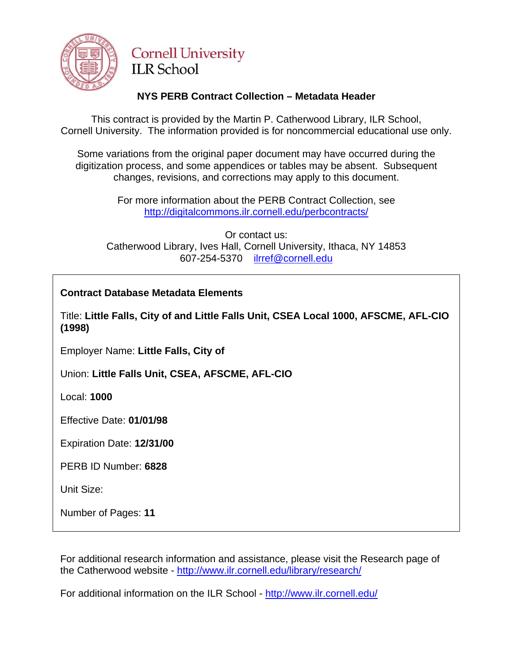

# **Cornell University ILR** School

## **NYS PERB Contract Collection – Metadata Header**

This contract is provided by the Martin P. Catherwood Library, ILR School, Cornell University. The information provided is for noncommercial educational use only.

Some variations from the original paper document may have occurred during the digitization process, and some appendices or tables may be absent. Subsequent changes, revisions, and corrections may apply to this document.

> For more information about the PERB Contract Collection, see http://digitalcommons.ilr.cornell.edu/perbcontracts/

Or contact us: Catherwood Library, Ives Hall, Cornell University, Ithaca, NY 14853 607-254-5370 [ilrref@cornell.edu](mailto:ilrref@cornell.edu)

## **Contract Database Metadata Elements**

Title: **Little Falls, City of and Little Falls Unit, CSEA Local 1000, AFSCME, AFL-CIO (1998)** 

Employer Name: **Little Falls, City of** 

Union: **Little Falls Unit, CSEA, AFSCME, AFL-CIO** 

Local: **1000** 

Effective Date: **01/01/98** 

Expiration Date: **12/31/00** 

PERB ID Number: **6828** 

Unit Size:

Number of Pages: **11** 

For additional research information and assistance, please visit the Research page of the Catherwood website -<http://www.ilr.cornell.edu/library/research/>

For additional information on the ILR School - <http://www.ilr.cornell.edu/>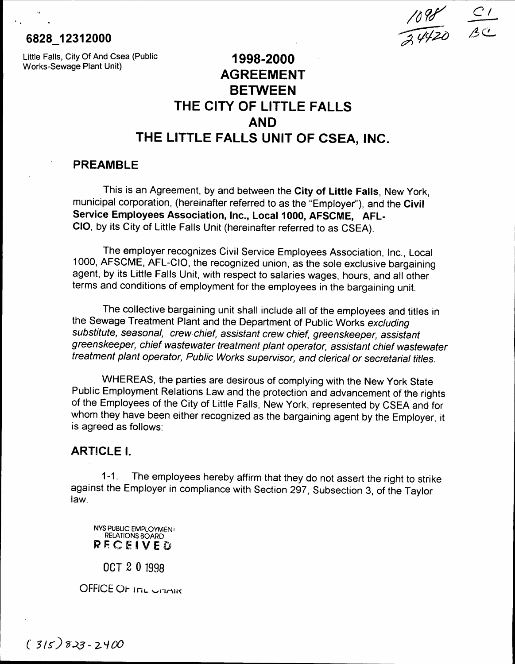## 6828 12312000

 $\cdot$  .

Little Falls, City Of And Csea (Public Works-Sewage Plant Unit) 1998-2000

# AGREEMENT **BETWEEN** THE CITY OF LITTLE FALLS AND THE LITTLE FALLS UNIT OF CSEA, INC.

*/o?r*

*CI*

 $\beta$ C

 $\overline{3}$ 

#### PREAMBLE

This is an Agreement, by and between the City of Little Falls, New York, municipal corporation, (hereinafter referred to as the "Employer"), and the Civil Service Employees Association, Inc., Local 1000, AFSCME, AFL-CIO, by its City of Little Falls Unit (hereinafter referred to as CSEA).

The employer recognizes Civil Service Employees Association, Inc., Local 1000, AFSCME, AFL-CIO, the recognized union, as the sole exclusive bargaining agent, by its Little Falls Unit, with respect to salaries wages, hours, and all other terms and conditions of employment for the employees in the bargaining unit.

The collective bargaining unit shall include all of the employees and titles in the Sewage Treatment Plant and the Department of Public Works excluding substitute, seasonal, crew chief, assistant crew chief, greenskeeper, assistant greenskeeper, chief wastewater treatment plant operator, assistant chief wastewater treatment plant operator, Public Works supervisor, and clerical or secretarial titles.

WHEREAS, the parties are desirous of complying with the New York State Public Employment Relations Law and the protection and advancement of the rights of the Employees of the City of Little Falls, New York, represented by CSEA and for whom they have been either recognized as the bargaining agent by the Employer, it is agreed as follows:

#### ARTICLE I.

1-1. The employees hereby affirm that they do not assert the right to strike against the Employer in compliance with Section 297, Subsection 3, of the Taylor law.

NYS PUBLIC EMPLOYMEN' RELATIONS BOARD RECEIVED

OCT 2 0 1998

OFFICE OF ITIL UNAIR

 $(315)823 - 2400$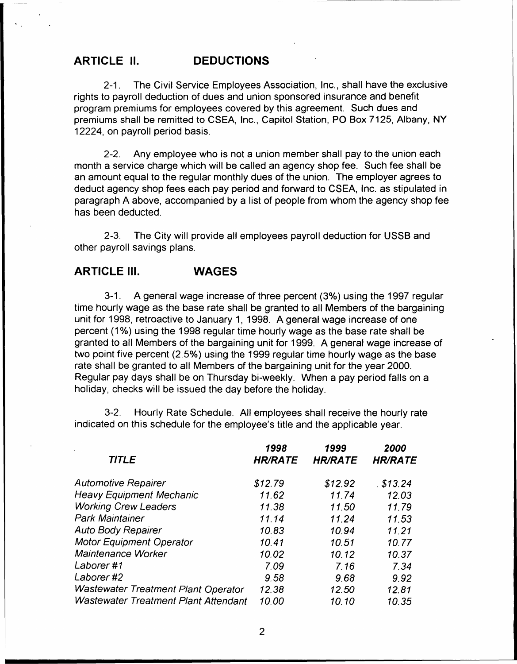#### ARTICLE II. DEDUCTIONS

..

2-1. The Civil Service Employees Association, Inc., shall have the exclusive rights to payroll deduction of dues and union sponsored insurance and benefit program premiums for employees covered by this agreement. Such dues and premiums shall be remitted to CSEA, Inc., Capitol Station, PO Box 7125, Albany, NY 12224, on payroll period basis.

2-2. Any employee who is not a union member shall pay to the union each month a service charge which will be called an agency shop fee. Such fee shall be an amount equal to the regular monthly dues of the union. The employer agrees to deduct agency shop fees each pay period and forward to CSEA, Inc. as stipulated in paragraph A above, accompanied by a list of people from whom the agency shop fee has been deducted.

2-3. The City will provide all employees payroll deduction for USSB and other payroll savings plans.

### ARTICLE III. WAGES

3-1. A general wage increase of three percent (3%) using the 1997 regular time hourly wage as the base rate shall be granted to all Members of the bargaining unit for 1998, retroactive to January 1, 1998. A general wage increase of one percent (1%) using the 1998 regular time hourly wage as the base rate shall be granted to all Members of the bargaining unit for 1999. A general wage increase of two point five percent (2.5%) using the 1999 regular time hourly wage as the base rate shall be granted to all Members of the bargaining unit for the year 2000. Regular pay days shall be on Thursday bi-weekly. When a pay period falls on a holiday, checks will be issued the day before the holiday.

3-2. Hourly Rate Schedule. All employees shall receive the hourly rate indicated on this schedule for the employee's title and the applicable year.

| <b>TITLE</b>                                | 1998<br><b>HR/RATE</b> | 1999<br><b>HR/RATE</b> | 2000<br><b>HR/RATE</b> |
|---------------------------------------------|------------------------|------------------------|------------------------|
|                                             |                        |                        |                        |
| <b>Automotive Repairer</b>                  | \$12.79                | \$12.92                | \$13.24                |
| <b>Heavy Equipment Mechanic</b>             | 11.62                  | 11.74                  | 12.03                  |
| <b>Working Crew Leaders</b>                 | 11.38                  | 11.50                  | 11.79                  |
| <b>Park Maintainer</b>                      | 11.14                  | 11.24                  | 11.53                  |
| <b>Auto Body Repairer</b>                   | 10.83                  | 10.94                  | 11.21                  |
| <b>Motor Equipment Operator</b>             | 10.41                  | 10.51                  | 10.77                  |
| <b>Maintenance Worker</b>                   | 10.02                  | 10.12                  | 10.37                  |
| Laborer #1                                  | 7.09                   | 7.16                   | 7.34                   |
| Laborer #2                                  | 9.58                   | 9.68                   | 9.92                   |
| <b>Wastewater Treatment Plant Operator</b>  | 12.38                  | 12.50                  | 12.81                  |
| <b>Wastewater Treatment Plant Attendant</b> | 10.00                  | 10.10                  | 10.35                  |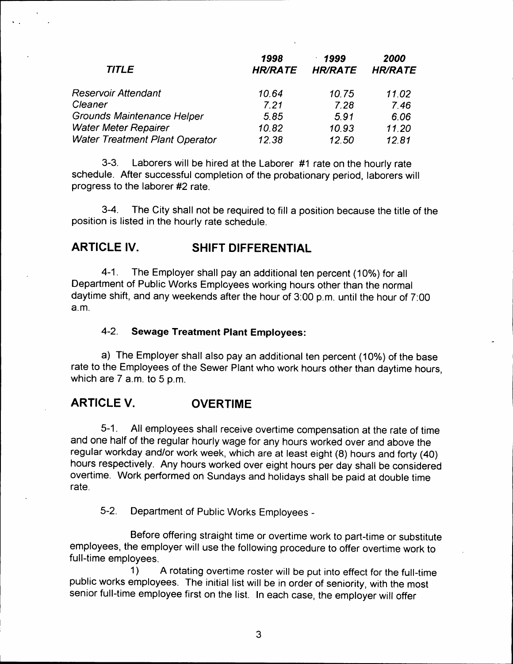| <b>TITLE</b>                          | 1998<br><b>HR/RATE</b> | 1999<br><b>HR/RATE</b> | 2000<br><b>HR/RATE</b> |
|---------------------------------------|------------------------|------------------------|------------------------|
| Reservoir Attendant                   | 10.64                  | 10.75                  | 11.02                  |
| Cleaner                               | 7.21                   | 7.28                   | 7.46                   |
| Grounds Maintenance Helper            | 5.85                   | 5.91                   | 6.06                   |
| <b>Water Meter Repairer</b>           | 10.82                  | 10.93                  | 11.20                  |
| <b>Water Treatment Plant Operator</b> | 12.38                  | 12.50                  | 12.81                  |

3-3. Laborers will be hired at the Laborer #1 rate on the hourly rate schedule. After successful completion of the probationary period, laborers will progress to the laborer #2 rate.

3-4. The City shall not be required to fill a position because the title of the position is listed in the hourly rate schedule.

## **ARTICLE IV. SHIFT DIFFERENTIAL**

, .

> 4-1. The Employer shall pay an additional ten percent (10%) for all Department of Public Works Employees working hours other than the normal daytime shift, and any weekends after the hour of 3:00 p.m. until the hour of 7:00 a.m.

#### 4-2. **Sewage Treatment Plant Employees:**

a) The Employer shall also pay an additional ten percent (10%) of the base rate to the Employees of the Sewer Plant who work hours other than daytime hours, which are 7 a.m. to 5 p.m.

## **ARTICLE V. OVERTIME**

5-1. All employees shall receive overtime compensation at the rate of time and one half of the regular hourly wage for any hours worked over and above the regular workday and/or work week, which are at least eight (8) hours and forty (40) hours respectively. Any hours worked over eight hours per day shall be considered overtime. Work performed on Sundays and holidays shall be paid at double time rate.

5-2. Department of Public Works Employees -

Before offering straight time or overtime work to part-time or substitute employees, the employer will use the following procedure to offer overtime work to full-time employees.

1) A rotating overtime roster will be put into effect for the full-time public works employees. The initial list will be in order of seniority, with the most senior full-time employee first on the list. In each case, the employer will offer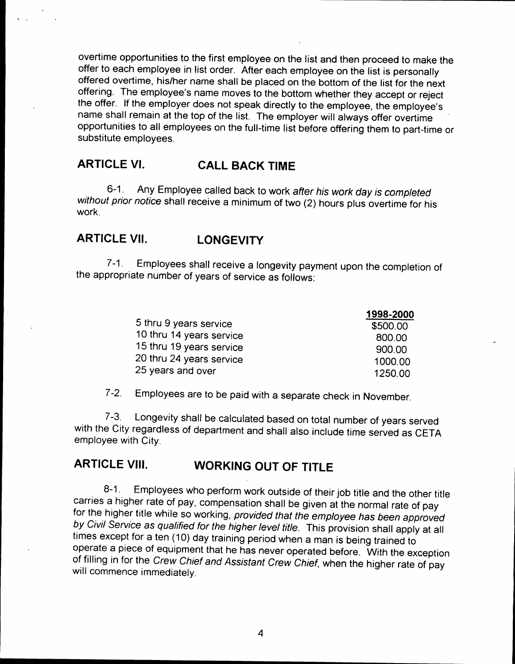overtime opportunities to the first employee on the list and then proceed to make the offer to each employee in list order. After each employee on the list is personally offered overtime, his/her name shall be placed on the bottom of the list for the next offering. The employee's name moves to the bottom whether they accept or reject the offer. If the employer does not speak directly to the employee, the employee's name shall remain at the top of the list. The employer will always offer overtime opportunities to all employees on the full-time list before offering them to part-time or substitute employees.

# **ARTICLE VI. CALL BACK TIME**

6-1. Any Employee called back to work after his work day is completed without prior notice shall receive a minimum of two (2) hours plus overtime for his work.

## **ARTICLE VII. LONGEVITY**

7-1. Employees shall receive a longevity payment upon the completion of the appropriate number of years of service as follows:

|                          | 1998-2000 |
|--------------------------|-----------|
| 5 thru 9 years service   | \$500.00  |
| 10 thru 14 years service | 800.00    |
| 15 thru 19 years service | 900.00    |
| 20 thru 24 years service | 1000.00   |
| 25 years and over        | 1250.00   |

7-2. Employees are to be paid with a separate check in November.

7-3. Longevity shall be calculated based on total number of years served with the City regardless of department and shall also include time served as CETA employee with City.

# **ARTICLE VIII. WORKING OUT OF TITLE**

8-1. Employees who perform work outside of their job title and the other title carries a higher rate of pay, compensation shall be given at the normal rate of pay for the higher title while so working, provided that the employee has been approved by Civil Service as qualified for the higher level title. This provision shall apply at all times except for a ten (10) day training period when a man is being trained to operate a piece of equipment that he has never operated before. With the exception of filling in for the Crew Chief and Assistant Crew Chief, when the higher rate of pay will commence immediately.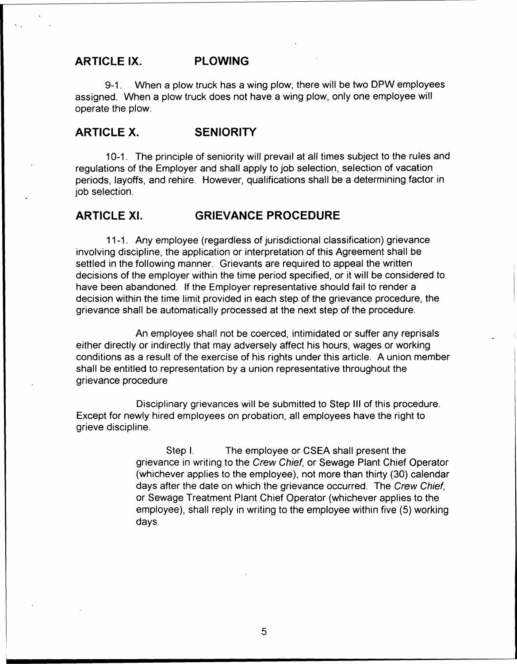#### ARTICLE IX. PLOWING

9-1. When a plow truck has a wing plow, there will be two DPW employees assigned. When a plow truck does not have a wing plow, only one employee will operate the plow.

#### ARTICLE X. SENIORITY

10-1. The principle of seniority will prevail at all times subject to the rules and regulations of the Employer and shall apply to job selection, selection of vacation periods, layoffs, and rehire. However, qualifications shall be a determining factor in job selection.

#### ARTICLE XI. GRIEVANCE PROCEDURE

11-1. Any employee (regardless of jurisdictional classification) grievance involving discipline, the application or interpretation of this Agreement shall be settled in the following manner. Grievants are required to appeal the written decisions of the employer within the time period specified, or it will be considered to have been abandoned. If the Employer representative should fail to render a decision within the time limit provided in each step of the grievance procedure, the grievance shall be automatically processed at the next step of the procedure.

An employee shall not be coerced, intimidated or suffer any reprisals either directly or indirectly that may adversely affect his hours, wages or working conditions as a result of the exercise of his rights under this article. A union member shall be entitled to representation by a union representative throughout the grievance procedure

Disciplinary grievances will be submitted to Step III of this procedure. Except for newly hired employees on probation, all employees have the right to grieve discipline.

> Step I. The employee or CSEA shall present the grievance in writing to the Crew Chief, or Sewage Plant Chief Operator (whichever applies to the employee), not more than thirty (30) calendar days after the date on which the grievance occurred. The Crew Chief, or Sewage Treatment Plant Chief Operator (whichever applies to the employee), shall reply in writing to the employee within five (5) working days.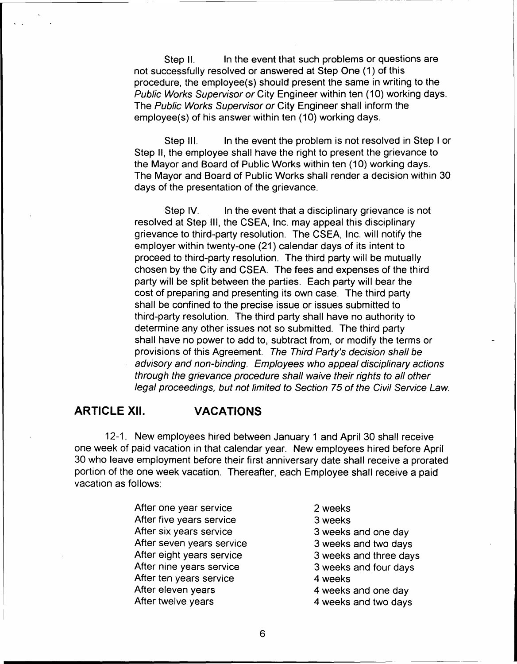Step II. In the event that such problems or questions are not successfully resolved or answered at Step One (1) of this procedure, the employee( s) should present the same in writing to the Public Works Supervisor or City Engineer within ten (10) working days. The Public Works Supervisor or City Engineer shall inform the employee(s) of his answer within ten (10) working days.

Step III. In the event the problem is not resolved in Step I or Step II, the employee shall have the right to present the grievance to the Mayor and Board of Public Works within ten (10) working days. The Mayor and Board of Public Works shall render a decision within 30 days of the presentation of the grievance.

Step IV. In the event that a disciplinary grievance is not resolved at Step III, the CSEA, Inc. may appeal this disciplinary grievance to third-party resolution. The CSEA, Inc. will notify the employer within twenty-one (21) calendar days of its intent to proceed to third-party resolution. The third party will be mutually chosen by the City and CSEA. The fees and expenses of the third party will be split between the parties. Each party will bear the cost of preparing and presenting its own case. The third party shall be confined to the precise issue or issues submitted to third-party resolution. The third party shall have no authority to determine any other issues not so submitted. The third party shall have no power to add to, subtract from, or modify the terms or provisions of this Agreement. The Third Party's decision shall be advisory and non-binding. Employees who appeal disciplinary actions through the grievance procedure shall waive their rights to all other legal proceedings, but not limited to Section 75 of the Civil Service Law.

#### **ARTICLE XII. VACATIONS**

12-1. New employees hired between January 1 and April 30 shall receive one week of paid vacation in that calendar year. New employees hired before April 30 who leave employment before their first anniversary date shall receive a prorated portion of the one week vacation. Thereafter, each Employee shall receive a paid vacation as follows:

- After one year service After five years service After six years service After seven years service After eight years service After nine years service After ten years service After eleven years After twelve years
- 2 weeks 3 weeks 3 weeks and one day 3 weeks and two days 3 weeks and three days 3 weeks and four days 4 weeks 4 weeks and one day 4 weeks and two days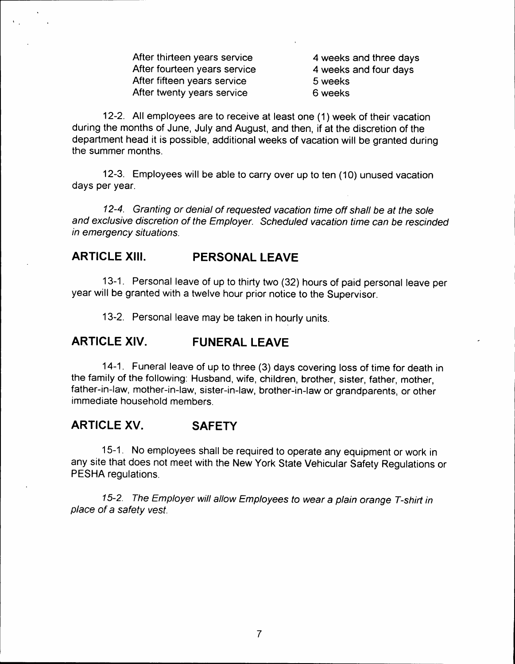After thirteen years service After fourteen years service After fifteen years service After twenty years service

4 weeks and three days 4 weeks and four days 5 weeks 6 weeks

12-2. All employees are to receive at least one (1) week of their vacation during the months of June, July and August, and then, if at the discretion of the department head it is possible, additional weeks of vacation will be granted during the summer months.

12-3. Employees will be able to carry over up to ten (10) unused vacation days per year.

12-4. Granting or denial of requested vacation time off shall be at the sole and exclusive discretion of the Employer. Scheduled vacation time can be rescinded in emergency situations.

## **ARTICLE XIII.** PERSONAL LEAVE

13-1. Personal leave of up to thirty two (32) hours of paid personal leave per year will be granted with a twelve hour prior notice to the Supervisor.

13-2. Personal leave may be taken in hourly units.

#### **ARTICLE XIV.** FUNERAL LEAVE

14-1. Funeral leave of up to three (3) days covering loss of time for death in the family of the following: Husband, wife, children, brother, sister, father, mother, father-in-law, mother-in-law, sister-in-law, brother-in-law or grandparents, or other immediate household members.

#### **ARTICLE XV. SAFETY**

15-1. No employees shall be required to operate any equipment or work in any site that does not meet with the New York State Vehicular Safety Regulations or PESHA regulations.

15-2. *The Employer* will *allow Employees to wear* a *plain orange T-shirt in place of* a *safety* vest.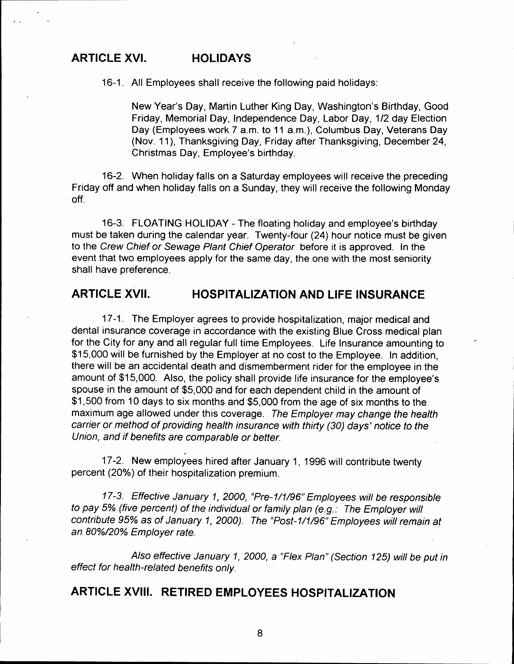## **ARTICLE XVI. HOLIDAYS**

16-1. All Employees shall receive the following paid holidays:

New Year's Day, Martin Luther King Day, Washington's Birthday, Good Friday, Memorial Day, Independence Day, Labor Day, 1/2 day Election Day (Employees work 7 a.m. to 11 a.m.), Columbus Day, Veterans Day (Nov. 11), Thanksgiving Day, Friday after Thanksgiving, December 24, Christmas Day, Employee's birthday.

16-2. When holiday falls on a Saturday employees will receive the preceding Friday off and when holiday falls on a Sunday, they will receive the following Monday off.

16-3. FLOATING HOLIDAY - The floating holiday and employee's birthday must be taken during the calendar year. Twenty-four (24) hour notice must be given to the Crew Chief or Sewage Plant Chief Operator before it is approved. In the event that two employees apply for the same day, the one with the most seniority shall have preference.

### **ARTICLE XVII. HOSPITALIZATION AND LIFE INSURANCE**

17-1. The Employer agrees to provide hospitalization, major medical and dental insurance coverage in accordance with the existing Blue Cross medical plan for the City for any and all regular full time Employees. Life Insurance amounting to \$15,000 will be furnished by the Employer at no cost to the Employee. In addition, there will be an accidental death and dismemberment rider for the employee in the amount of \$15,000. Also, the policy shall provide life insurance for the employee's spouse in the amount of \$5,000 and for each dependent child in the amount of \$1,500 from 10 days to six months and \$5,000 from the age of six months to the maximum age allowed under this coverage. The Employer may change the health carrier or method of providing health insurance with thirty (30) days' notice to the Union, and if benefits are comparable or better.

17-2. New employees hired after January 1, 1996 will contribute twenty percent (20%) of their hospitalization premium.

17-3. Effective January 1, 2000, "Pre-1/1/96" Employees will be responsible to pay 5% (five percent) of the individual or family plan (e.g.: The Employer will contribute 95% as of January 1, 2000). The "Post-1/1/96" Employees will remain at an 80%/20% Employer rate.

Also effective January 1, 2000, a "Flex Plan" (Section 125) will be put in effect for health-related benefits only.

## **ARTICLE XVIII. RETIRED EMPLOYEES HOSPITALIZATION**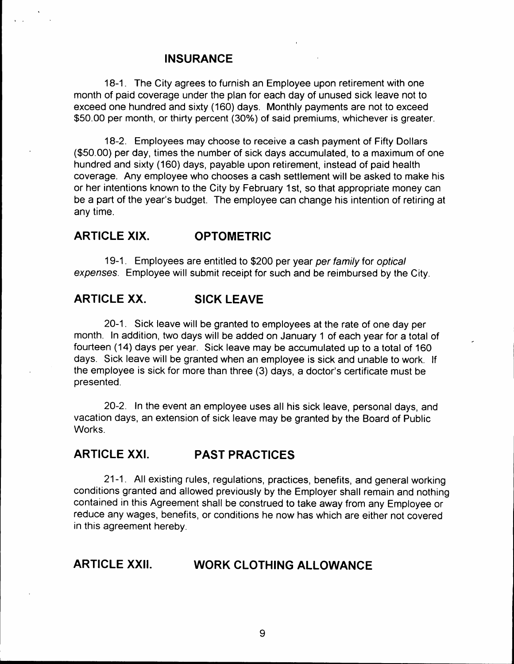#### **INSURANCE**

18-1. The City agrees to furnish an Employee upon retirement with one month of paid coverage under the plan for each day of unused sick leave not to exceed one hundred and sixty (160) days. Monthly payments are not to exceed \$50.00 per month, or thirty percent (30%) of said premiums, whichever is greater.

18-2. Employees may choose to receive a cash payment of Fifty Dollars (\$50.00) per day, times the number of sick days accumulated, to a maximum of one hundred and sixty (160) days, payable upon retirement, instead of paid health coverage. Any employee who chooses a cash settlement will be asked to make his or her intentions known to the City by February 1st, so that appropriate money can be a part of the year's budget. The employee can change his intention of retiring at any time.

## **ARTICLE XIX. OPTOMETRIC**

19-1. Employees are entitled to \$200 per year per family for optical expenses. Employee will submit receipt for such and be reimbursed by the City.

#### **ARTICLE XX. SICK LEAVE**

20-1. Sick leave will be granted to employees at the rate of one day per month. In addition, two days will be added on January 1 of each year for a total of fourteen (14) days per year. Sick leave may be accumulated up to a total of 160 days. Sick leave will be granted when an employee is sick and unable to work. If the employee is sick for more than three (3) days, a doctor's certificate must be presented.

20-2. In the event an employee uses all his sick leave, personal days, and vacation days, an extension of sick leave may be granted by the Board of Public Works.

## **ARTICLE XXI. PAST PRACTICES**

21-1. All existing rules, regulations, practices, benefits, and general working conditions granted and allowed previously by the Employer shall remain and nothing contained in this Agreement shall be construed to take away from any Employee or reduce any wages, benefits, or conditions he now has which are either not covered in this agreement hereby.

## **ARTICLE XXII. WORK CLOTHING ALLOWANCE**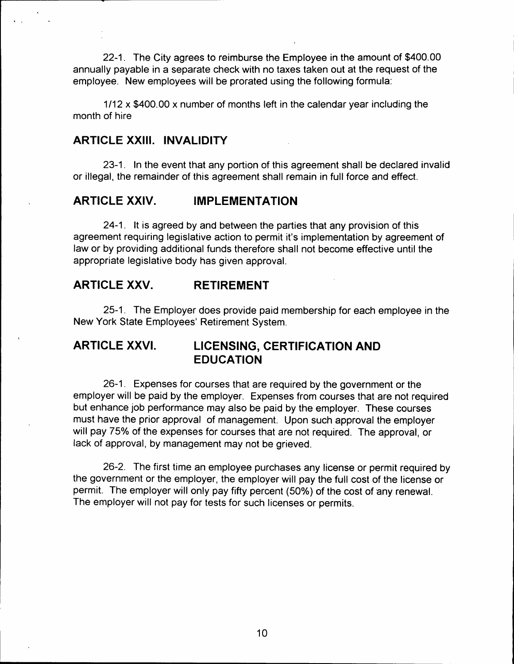22-1. The City agrees to reimburse the Employee in the amount of \$400.00 annually payable in a separate check with no taxes taken out at the request of the employee. New employees will be prorated using the following formula:

1/12 x \$400.00 x number of months left in the calendar year including the month of hire

## **ARTICLE XXIII. INVALIDITY**

23-1. In the event that any portion of this agreement shall be declared invalid or illegal, the remainder of this agreement shall remain in full force and effect.

#### **ARTICLE XXIV. IMPLEMENTATION**

24-1. It is agreed by and between the parties that any provision of this agreement requiring legislative action to permit it's implementation by agreement of law or by providing additional funds therefore shall not become effective until the appropriate legislative body has given approval.

#### **ARTICLE XXV. RETIREMENT**

25-1. The Employer does provide paid membership for each employee in the New York State Employees' Retirement System.

## **ARTICLE XXVI. LICENSING, CERTIFICATION AND EDUCATION**

26-1. Expenses for courses that are required by the government or the employer will be paid by the employer. Expenses from courses that are not required but enhance job performance may also be paid by the employer. These courses must have the prior approval of management. Upon such approval the employer will pay 75% of the expenses for courses that are not required. The approval, or lack of approval, by management may not be grieved.

26-2. The first time an employee purchases any license or permit required by the government or the employer, the employer will pay the full cost of the license or permit. The employer will only pay fifty percent (50%) of the cost of any renewal. The employer will not pay for tests for such licenses or permits.